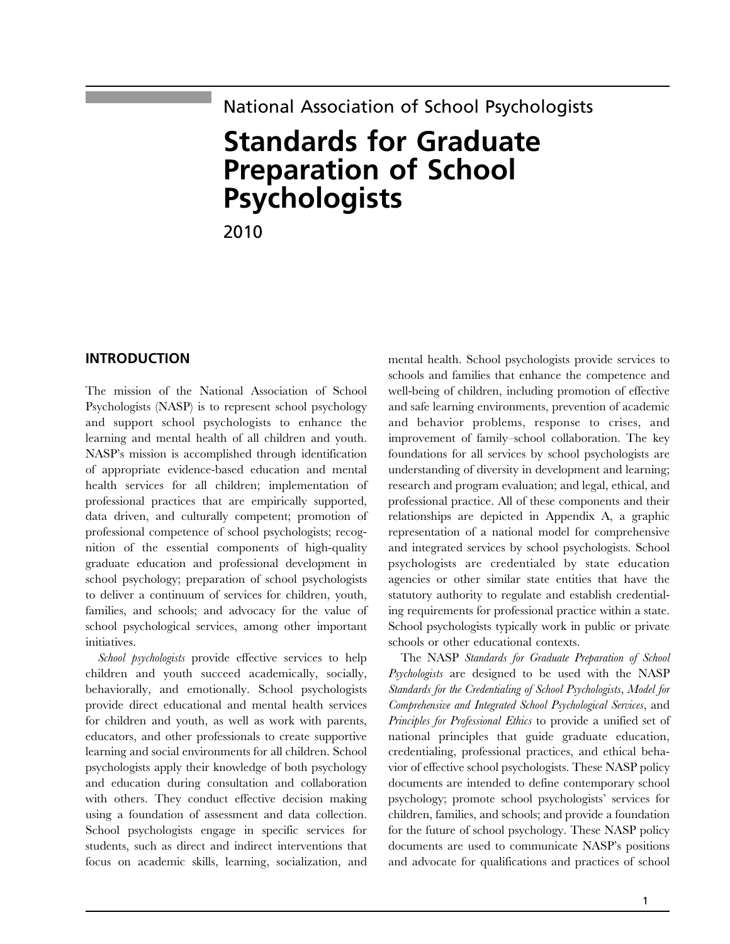# Standards for Graduate Preparation of School **Psychologists**

2010

# INTRODUCTION

The mission of the National Association of School Psychologists (NASP) is to represent school psychology and support school psychologists to enhance the learning and mental health of all children and youth. NASP's mission is accomplished through identification of appropriate evidence-based education and mental health services for all children; implementation of professional practices that are empirically supported, data driven, and culturally competent; promotion of professional competence of school psychologists; recognition of the essential components of high-quality graduate education and professional development in school psychology; preparation of school psychologists to deliver a continuum of services for children, youth, families, and schools; and advocacy for the value of school psychological services, among other important initiatives.

School psychologists provide effective services to help children and youth succeed academically, socially, behaviorally, and emotionally. School psychologists provide direct educational and mental health services for children and youth, as well as work with parents, educators, and other professionals to create supportive learning and social environments for all children. School psychologists apply their knowledge of both psychology and education during consultation and collaboration with others. They conduct effective decision making using a foundation of assessment and data collection. School psychologists engage in specific services for students, such as direct and indirect interventions that focus on academic skills, learning, socialization, and mental health. School psychologists provide services to schools and families that enhance the competence and well-being of children, including promotion of effective and safe learning environments, prevention of academic and behavior problems, response to crises, and improvement of family–school collaboration. The key foundations for all services by school psychologists are understanding of diversity in development and learning; research and program evaluation; and legal, ethical, and professional practice. All of these components and their relationships are depicted in Appendix A, a graphic representation of a national model for comprehensive and integrated services by school psychologists. School psychologists are credentialed by state education agencies or other similar state entities that have the statutory authority to regulate and establish credentialing requirements for professional practice within a state. School psychologists typically work in public or private schools or other educational contexts.

The NASP Standards for Graduate Preparation of School Psychologists are designed to be used with the NASP Standards for the Credentialing of School Psychologists, Model for Comprehensive and Integrated School Psychological Services, and Principles for Professional Ethics to provide a unified set of national principles that guide graduate education, credentialing, professional practices, and ethical behavior of effective school psychologists. These NASP policy documents are intended to define contemporary school psychology; promote school psychologists' services for children, families, and schools; and provide a foundation for the future of school psychology. These NASP policy documents are used to communicate NASP's positions and advocate for qualifications and practices of school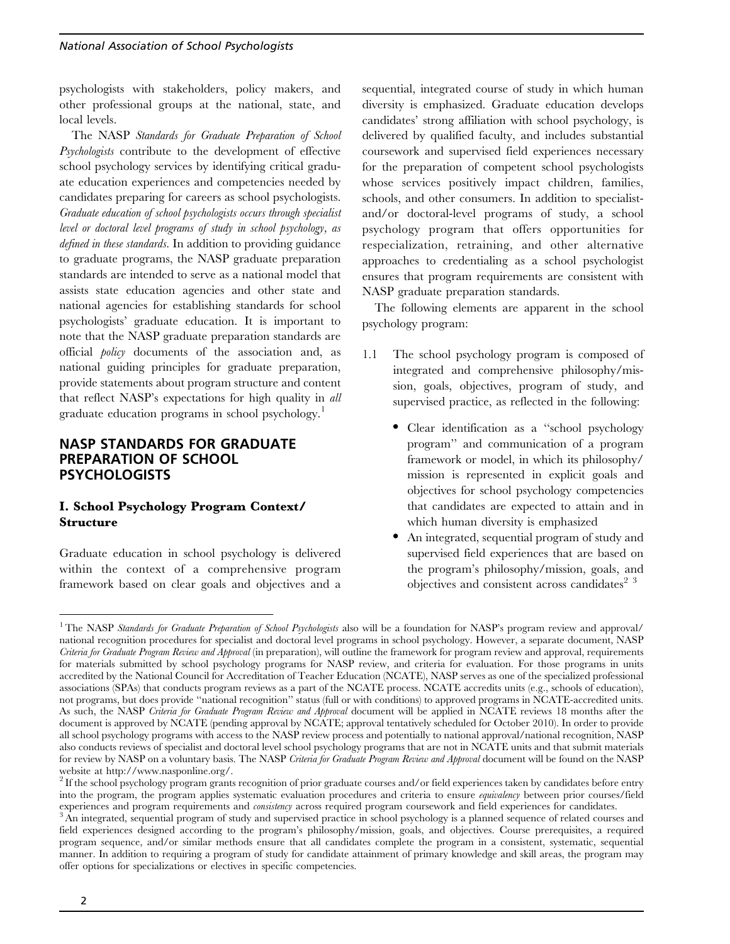psychologists with stakeholders, policy makers, and other professional groups at the national, state, and local levels.

The NASP Standards for Graduate Preparation of School Psychologists contribute to the development of effective school psychology services by identifying critical graduate education experiences and competencies needed by candidates preparing for careers as school psychologists. Graduate education of school psychologists occurs through specialist level or doctoral level programs of study in school psychology, as defined in these standards. In addition to providing guidance to graduate programs, the NASP graduate preparation standards are intended to serve as a national model that assists state education agencies and other state and national agencies for establishing standards for school psychologists' graduate education. It is important to note that the NASP graduate preparation standards are official policy documents of the association and, as national guiding principles for graduate preparation, provide statements about program structure and content that reflect NASP's expectations for high quality in all graduate education programs in school psychology.<sup>1</sup>

# NASP STANDARDS FOR GRADUATE PREPARATION OF SCHOOL **PSYCHOLOGISTS**

#### I. School Psychology Program Context/ Structure

Graduate education in school psychology is delivered within the context of a comprehensive program framework based on clear goals and objectives and a

sequential, integrated course of study in which human diversity is emphasized. Graduate education develops candidates' strong affiliation with school psychology, is delivered by qualified faculty, and includes substantial coursework and supervised field experiences necessary for the preparation of competent school psychologists whose services positively impact children, families, schools, and other consumers. In addition to specialistand/or doctoral-level programs of study, a school psychology program that offers opportunities for respecialization, retraining, and other alternative approaches to credentialing as a school psychologist ensures that program requirements are consistent with NASP graduate preparation standards.

- 1.1 The school psychology program is composed of integrated and comprehensive philosophy/mission, goals, objectives, program of study, and supervised practice, as reflected in the following:
	- Clear identification as a "school psychology program'' and communication of a program framework or model, in which its philosophy/ mission is represented in explicit goals and objectives for school psychology competencies that candidates are expected to attain and in which human diversity is emphasized
	- An integrated, sequential program of study and supervised field experiences that are based on the program's philosophy/mission, goals, and objectives and consistent across candidates $23$

<sup>&</sup>lt;sup>1</sup> The NASP Standards for Graduate Preparation of School Psychologists also will be a foundation for NASP's program review and approval/ national recognition procedures for specialist and doctoral level programs in school psychology. However, a separate document, NASP Criteria for Graduate Program Review and Approval (in preparation), will outline the framework for program review and approval, requirements for materials submitted by school psychology programs for NASP review, and criteria for evaluation. For those programs in units accredited by the National Council for Accreditation of Teacher Education (NCATE), NASP serves as one of the specialized professional associations (SPAs) that conducts program reviews as a part of the NCATE process. NCATE accredits units (e.g., schools of education), not programs, but does provide ''national recognition'' status (full or with conditions) to approved programs in NCATE-accredited units. As such, the NASP Criteria for Graduate Program Review and Approval document will be applied in NCATE reviews 18 months after the document is approved by NCATE (pending approval by NCATE; approval tentatively scheduled for October 2010). In order to provide all school psychology programs with access to the NASP review process and potentially to national approval/national recognition, NASP also conducts reviews of specialist and doctoral level school psychology programs that are not in NCATE units and that submit materials for review by NASP on a voluntary basis. The NASP Criteria for Graduate Program Review and Approval document will be found on the NASP website at http://www.nasponline.org/.

 $^{2}$  If the school psychology program grants recognition of prior graduate courses and/or field experiences taken by candidates before entry into the program, the program applies systematic evaluation procedures and criteria to ensure *equivalency* between prior courses/field experiences and program requirements and *consistency* across required program coursework and field experiences for candidates.<br><sup>3</sup> An integrated, sequential program of study and supervised practice in school psychology is

field experiences designed according to the program's philosophy/mission, goals, and objectives. Course prerequisites, a required program sequence, and/or similar methods ensure that all candidates complete the program in a consistent, systematic, sequential manner. In addition to requiring a program of study for candidate attainment of primary knowledge and skill areas, the program may offer options for specializations or electives in specific competencies.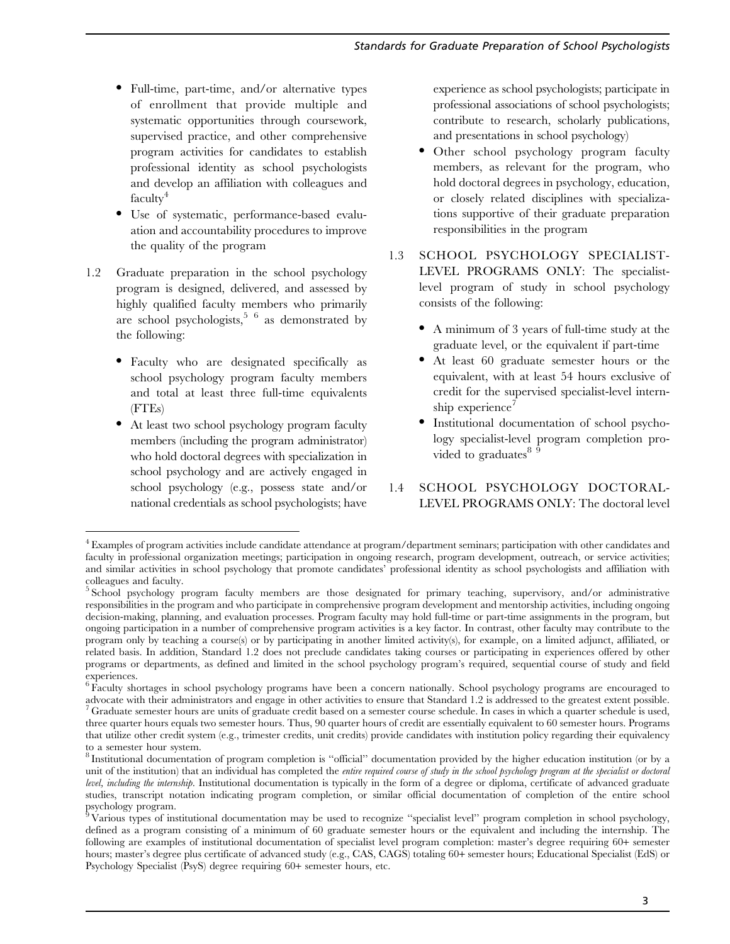- Full-time, part-time, and/or alternative types of enrollment that provide multiple and systematic opportunities through coursework, supervised practice, and other comprehensive program activities for candidates to establish professional identity as school psychologists and develop an affiliation with colleagues and  $facultv<sup>4</sup>$
- $\bullet$  Use of systematic, performance-based evaluation and accountability procedures to improve the quality of the program
- 1.2 Graduate preparation in the school psychology program is designed, delivered, and assessed by highly qualified faculty members who primarily are school psychologists,  $5\frac{6}{9}$  as demonstrated by the following:
	- Faculty who are designated specifically as school psychology program faculty members and total at least three full-time equivalents (FTEs)
	- At least two school psychology program faculty members (including the program administrator) who hold doctoral degrees with specialization in school psychology and are actively engaged in school psychology (e.g., possess state and/or national credentials as school psychologists; have

experience as school psychologists; participate in professional associations of school psychologists; contribute to research, scholarly publications, and presentations in school psychology)

- Other school psychology program faculty members, as relevant for the program, who hold doctoral degrees in psychology, education, or closely related disciplines with specializations supportive of their graduate preparation responsibilities in the program
- 1.3 SCHOOL PSYCHOLOGY SPECIALIST-LEVEL PROGRAMS ONLY: The specialistlevel program of study in school psychology consists of the following:
	- A minimum of 3 years of full-time study at the graduate level, or the equivalent if part-time
	- At least 60 graduate semester hours or the equivalent, with at least 54 hours exclusive of credit for the supervised specialist-level internship experience<sup>7</sup>
	- Institutional documentation of school psychology specialist-level program completion provided to graduates $8\overline{9}$

# 1.4 SCHOOL PSYCHOLOGY DOCTORAL-LEVEL PROGRAMS ONLY: The doctoral level

<sup>4</sup> Examples of program activities include candidate attendance at program/department seminars; participation with other candidates and faculty in professional organization meetings; participation in ongoing research, program development, outreach, or service activities; and similar activities in school psychology that promote candidates' professional identity as school psychologists and affiliation with colleagues and faculty.

<sup>5</sup> School psychology program faculty members are those designated for primary teaching, supervisory, and/or administrative responsibilities in the program and who participate in comprehensive program development and mentorship activities, including ongoing decision-making, planning, and evaluation processes. Program faculty may hold full-time or part-time assignments in the program, but ongoing participation in a number of comprehensive program activities is a key factor. In contrast, other faculty may contribute to the program only by teaching a course(s) or by participating in another limited activity(s), for example, on a limited adjunct, affiliated, or related basis. In addition, Standard 1.2 does not preclude candidates taking courses or participating in experiences offered by other programs or departments, as defined and limited in the school psychology program's required, sequential course of study and field experiences.

<sup>&</sup>lt;sup>6</sup> Faculty shortages in school psychology programs have been a concern nationally. School psychology programs are encouraged to advocate with their administrators and engage in other activities to ensure that Standard 1.2 is addressed to the greatest extent possible.<br><sup>7</sup> Graduate semester hours are units of graduate credit based on a semester cours

three quarter hours equals two semester hours. Thus, 90 quarter hours of credit are essentially equivalent to 60 semester hours. Programs that utilize other credit system (e.g., trimester credits, unit credits) provide candidates with institution policy regarding their equivalency to a semester hour system.

<sup>&</sup>lt;sup>8</sup> Institutional documentation of program completion is "official" documentation provided by the higher education institution (or by a unit of the institution) that an individual has completed the entire required course of study in the school psychology program at the specialist or doctoral level, including the internship. Institutional documentation is typically in the form of a degree or diploma, certificate of advanced graduate studies, transcript notation indicating program completion, or similar official documentation of completion of the entire school psychology program.

<sup>9</sup> Various types of institutional documentation may be used to recognize ''specialist level'' program completion in school psychology, defined as a program consisting of a minimum of 60 graduate semester hours or the equivalent and including the internship. The following are examples of institutional documentation of specialist level program completion: master's degree requiring 60+ semester hours; master's degree plus certificate of advanced study (e.g., CAS, CAGS) totaling 60+ semester hours; Educational Specialist (EdS) or Psychology Specialist (PsyS) degree requiring 60+ semester hours, etc.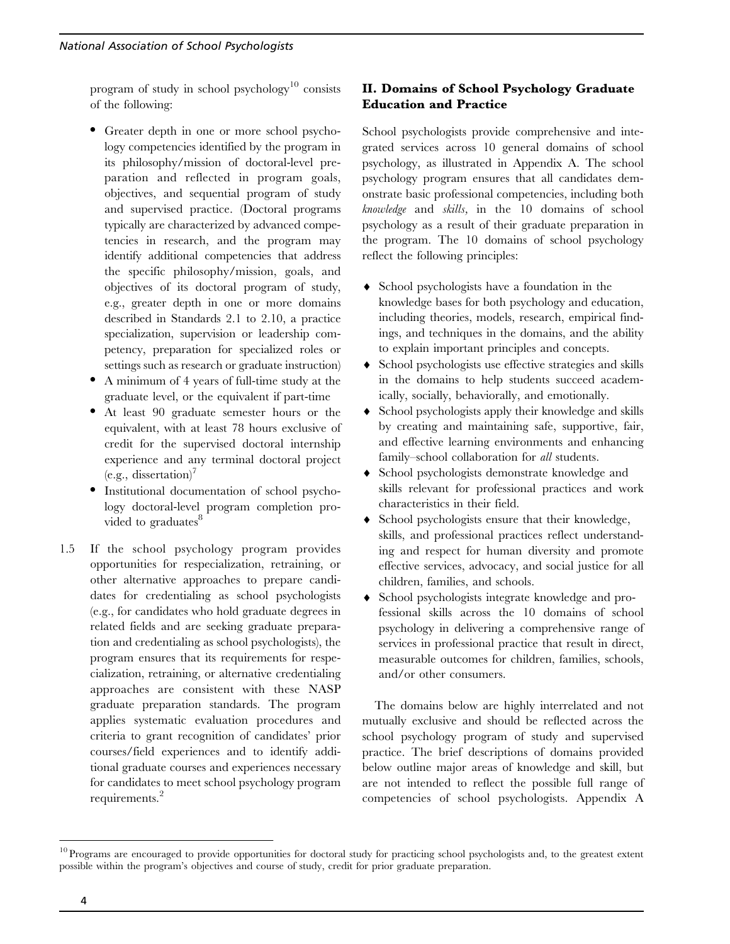program of study in school psychology<sup>10</sup> consists of the following:

- Greater depth in one or more school psychology competencies identified by the program in its philosophy/mission of doctoral-level preparation and reflected in program goals, objectives, and sequential program of study and supervised practice. (Doctoral programs typically are characterized by advanced competencies in research, and the program may identify additional competencies that address the specific philosophy/mission, goals, and objectives of its doctoral program of study, e.g., greater depth in one or more domains described in Standards 2.1 to 2.10, a practice specialization, supervision or leadership competency, preparation for specialized roles or settings such as research or graduate instruction)
- A minimum of 4 years of full-time study at the graduate level, or the equivalent if part-time
- At least 90 graduate semester hours or the equivalent, with at least 78 hours exclusive of credit for the supervised doctoral internship experience and any terminal doctoral project  $(e.g.,$  dissertation)<sup>7</sup>
- Institutional documentation of school psychology doctoral-level program completion provided to graduates<sup>8</sup>
- 1.5 If the school psychology program provides opportunities for respecialization, retraining, or other alternative approaches to prepare candidates for credentialing as school psychologists (e.g., for candidates who hold graduate degrees in related fields and are seeking graduate preparation and credentialing as school psychologists), the program ensures that its requirements for respecialization, retraining, or alternative credentialing approaches are consistent with these NASP graduate preparation standards. The program applies systematic evaluation procedures and criteria to grant recognition of candidates' prior courses/field experiences and to identify additional graduate courses and experiences necessary for candidates to meet school psychology program requirements.<sup>2</sup>

#### II. Domains of School Psychology Graduate Education and Practice

School psychologists provide comprehensive and integrated services across 10 general domains of school psychology, as illustrated in Appendix A. The school psychology program ensures that all candidates demonstrate basic professional competencies, including both knowledge and skills, in the 10 domains of school psychology as a result of their graduate preparation in the program. The 10 domains of school psychology reflect the following principles:

- School psychologists have a foundation in the knowledge bases for both psychology and education, including theories, models, research, empirical findings, and techniques in the domains, and the ability to explain important principles and concepts.
- School psychologists use effective strategies and skills in the domains to help students succeed academically, socially, behaviorally, and emotionally.
- School psychologists apply their knowledge and skills by creating and maintaining safe, supportive, fair, and effective learning environments and enhancing family–school collaboration for all students.
- ¤ School psychologists demonstrate knowledge and skills relevant for professional practices and work characteristics in their field.
- School psychologists ensure that their knowledge, skills, and professional practices reflect understanding and respect for human diversity and promote effective services, advocacy, and social justice for all children, families, and schools.
- School psychologists integrate knowledge and professional skills across the 10 domains of school psychology in delivering a comprehensive range of services in professional practice that result in direct, measurable outcomes for children, families, schools, and/or other consumers.

The domains below are highly interrelated and not mutually exclusive and should be reflected across the school psychology program of study and supervised practice. The brief descriptions of domains provided below outline major areas of knowledge and skill, but are not intended to reflect the possible full range of competencies of school psychologists. Appendix A

<sup>&</sup>lt;sup>10</sup> Programs are encouraged to provide opportunities for doctoral study for practicing school psychologists and, to the greatest extent possible within the program's objectives and course of study, credit for prior graduate preparation.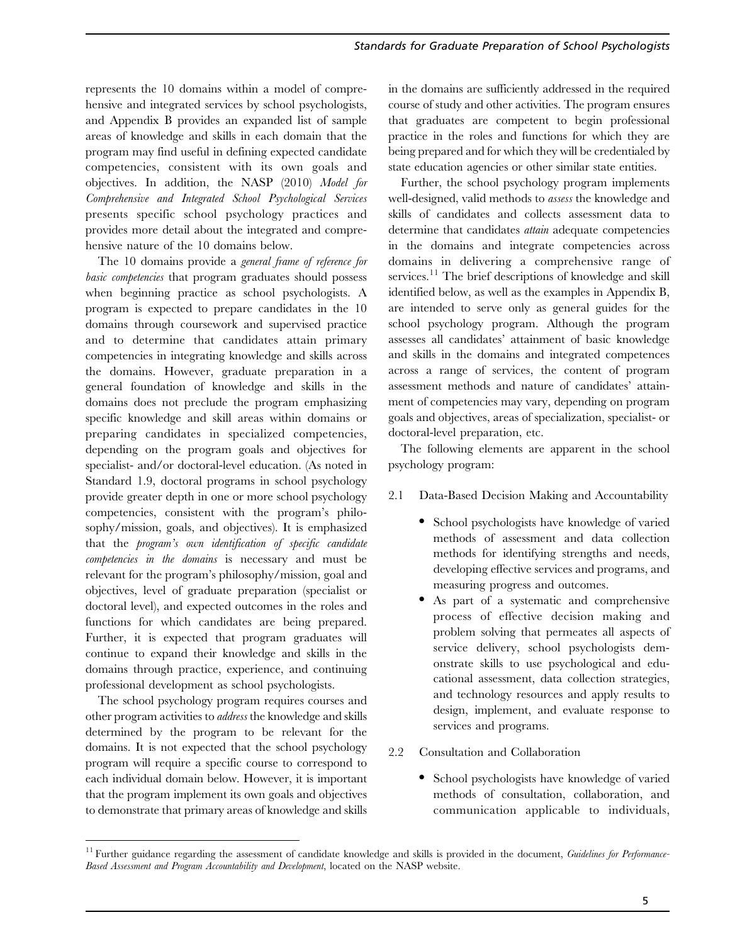represents the 10 domains within a model of comprehensive and integrated services by school psychologists, and Appendix B provides an expanded list of sample areas of knowledge and skills in each domain that the program may find useful in defining expected candidate competencies, consistent with its own goals and objectives. In addition, the NASP (2010) Model for Comprehensive and Integrated School Psychological Services presents specific school psychology practices and provides more detail about the integrated and comprehensive nature of the 10 domains below.

The 10 domains provide a general frame of reference for basic competencies that program graduates should possess when beginning practice as school psychologists. A program is expected to prepare candidates in the 10 domains through coursework and supervised practice and to determine that candidates attain primary competencies in integrating knowledge and skills across the domains. However, graduate preparation in a general foundation of knowledge and skills in the domains does not preclude the program emphasizing specific knowledge and skill areas within domains or preparing candidates in specialized competencies, depending on the program goals and objectives for specialist- and/or doctoral-level education. (As noted in Standard 1.9, doctoral programs in school psychology provide greater depth in one or more school psychology competencies, consistent with the program's philosophy/mission, goals, and objectives). It is emphasized that the program's own identification of specific candidate competencies in the domains is necessary and must be relevant for the program's philosophy/mission, goal and objectives, level of graduate preparation (specialist or doctoral level), and expected outcomes in the roles and functions for which candidates are being prepared. Further, it is expected that program graduates will continue to expand their knowledge and skills in the domains through practice, experience, and continuing professional development as school psychologists.

The school psychology program requires courses and other program activities to address the knowledge and skills determined by the program to be relevant for the domains. It is not expected that the school psychology program will require a specific course to correspond to each individual domain below. However, it is important that the program implement its own goals and objectives to demonstrate that primary areas of knowledge and skills in the domains are sufficiently addressed in the required course of study and other activities. The program ensures that graduates are competent to begin professional practice in the roles and functions for which they are being prepared and for which they will be credentialed by state education agencies or other similar state entities.

Further, the school psychology program implements well-designed, valid methods to assess the knowledge and skills of candidates and collects assessment data to determine that candidates *attain* adequate competencies in the domains and integrate competencies across domains in delivering a comprehensive range of services.<sup>11</sup> The brief descriptions of knowledge and skill identified below, as well as the examples in Appendix B, are intended to serve only as general guides for the school psychology program. Although the program assesses all candidates' attainment of basic knowledge and skills in the domains and integrated competences across a range of services, the content of program assessment methods and nature of candidates' attainment of competencies may vary, depending on program goals and objectives, areas of specialization, specialist- or doctoral-level preparation, etc.

- 2.1 Data-Based Decision Making and Accountability
	- School psychologists have knowledge of varied methods of assessment and data collection methods for identifying strengths and needs, developing effective services and programs, and measuring progress and outcomes.
	- As part of a systematic and comprehensive process of effective decision making and problem solving that permeates all aspects of service delivery, school psychologists demonstrate skills to use psychological and educational assessment, data collection strategies, and technology resources and apply results to design, implement, and evaluate response to services and programs.
- 2.2 Consultation and Collaboration
	- School psychologists have knowledge of varied methods of consultation, collaboration, and communication applicable to individuals,

<sup>&</sup>lt;sup>11</sup> Further guidance regarding the assessment of candidate knowledge and skills is provided in the document, Guidelines for Performance-Based Assessment and Program Accountability and Development, located on the NASP website.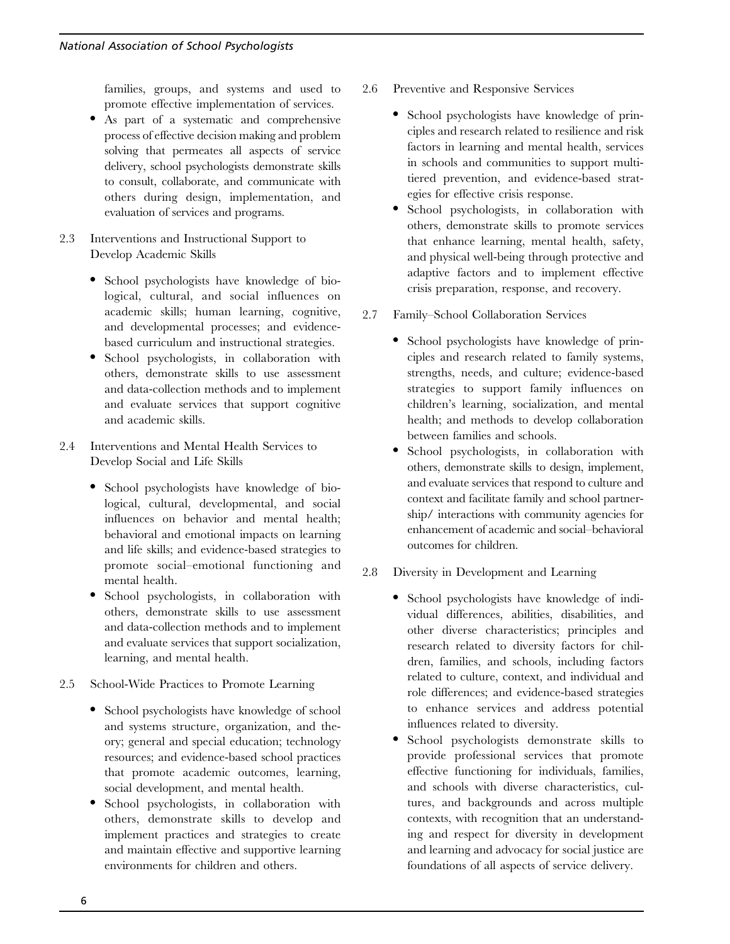families, groups, and systems and used to promote effective implementation of services.

- As part of a systematic and comprehensive process of effective decision making and problem solving that permeates all aspects of service delivery, school psychologists demonstrate skills to consult, collaborate, and communicate with others during design, implementation, and evaluation of services and programs.
- 2.3 Interventions and Instructional Support to Develop Academic Skills
	- School psychologists have knowledge of biological, cultural, and social influences on academic skills; human learning, cognitive, and developmental processes; and evidencebased curriculum and instructional strategies.
	- School psychologists, in collaboration with others, demonstrate skills to use assessment and data-collection methods and to implement and evaluate services that support cognitive and academic skills.
- 2.4 Interventions and Mental Health Services to Develop Social and Life Skills
	- School psychologists have knowledge of biological, cultural, developmental, and social influences on behavior and mental health; behavioral and emotional impacts on learning and life skills; and evidence-based strategies to promote social–emotional functioning and mental health.
	- N School psychologists, in collaboration with others, demonstrate skills to use assessment and data-collection methods and to implement and evaluate services that support socialization, learning, and mental health.
- 2.5 School-Wide Practices to Promote Learning
	- School psychologists have knowledge of school and systems structure, organization, and theory; general and special education; technology resources; and evidence-based school practices that promote academic outcomes, learning, social development, and mental health.
	- School psychologists, in collaboration with others, demonstrate skills to develop and implement practices and strategies to create and maintain effective and supportive learning environments for children and others.
- 2.6 Preventive and Responsive Services
	- School psychologists have knowledge of principles and research related to resilience and risk factors in learning and mental health, services in schools and communities to support multitiered prevention, and evidence-based strategies for effective crisis response.
	- School psychologists, in collaboration with others, demonstrate skills to promote services that enhance learning, mental health, safety, and physical well-being through protective and adaptive factors and to implement effective crisis preparation, response, and recovery.
- 2.7 Family–School Collaboration Services
	- School psychologists have knowledge of principles and research related to family systems, strengths, needs, and culture; evidence-based strategies to support family influences on children's learning, socialization, and mental health; and methods to develop collaboration between families and schools.
	- School psychologists, in collaboration with others, demonstrate skills to design, implement, and evaluate services that respond to culture and context and facilitate family and school partnership/ interactions with community agencies for enhancement of academic and social–behavioral outcomes for children.
- 2.8 Diversity in Development and Learning
	- School psychologists have knowledge of individual differences, abilities, disabilities, and other diverse characteristics; principles and research related to diversity factors for children, families, and schools, including factors related to culture, context, and individual and role differences; and evidence-based strategies to enhance services and address potential influences related to diversity.
	- School psychologists demonstrate skills to provide professional services that promote effective functioning for individuals, families, and schools with diverse characteristics, cultures, and backgrounds and across multiple contexts, with recognition that an understanding and respect for diversity in development and learning and advocacy for social justice are foundations of all aspects of service delivery.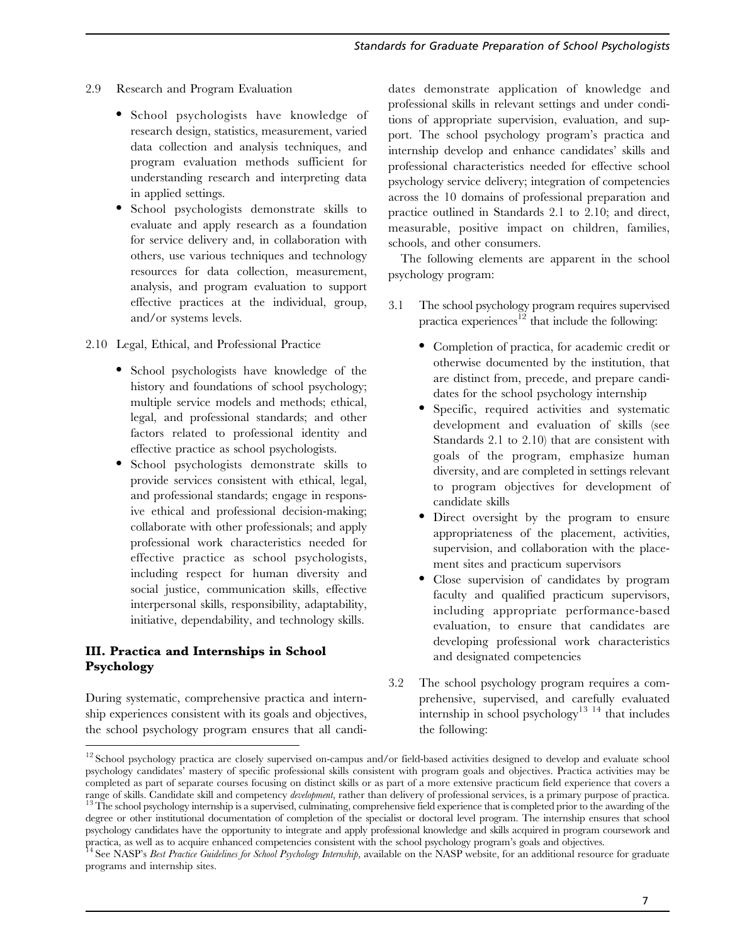- 2.9 Research and Program Evaluation
	- School psychologists have knowledge of research design, statistics, measurement, varied data collection and analysis techniques, and program evaluation methods sufficient for understanding research and interpreting data in applied settings.
	- N School psychologists demonstrate skills to evaluate and apply research as a foundation for service delivery and, in collaboration with others, use various techniques and technology resources for data collection, measurement, analysis, and program evaluation to support effective practices at the individual, group, and/or systems levels.
- 2.10 Legal, Ethical, and Professional Practice
	- School psychologists have knowledge of the history and foundations of school psychology; multiple service models and methods; ethical, legal, and professional standards; and other factors related to professional identity and effective practice as school psychologists.
	- School psychologists demonstrate skills to provide services consistent with ethical, legal, and professional standards; engage in responsive ethical and professional decision-making; collaborate with other professionals; and apply professional work characteristics needed for effective practice as school psychologists, including respect for human diversity and social justice, communication skills, effective interpersonal skills, responsibility, adaptability, initiative, dependability, and technology skills.

# III. Practica and Internships in School Psychology

During systematic, comprehensive practica and internship experiences consistent with its goals and objectives, the school psychology program ensures that all candidates demonstrate application of knowledge and professional skills in relevant settings and under conditions of appropriate supervision, evaluation, and support. The school psychology program's practica and internship develop and enhance candidates' skills and professional characteristics needed for effective school psychology service delivery; integration of competencies across the 10 domains of professional preparation and practice outlined in Standards 2.1 to 2.10; and direct, measurable, positive impact on children, families, schools, and other consumers.

- 3.1 The school psychology program requires supervised practica experiences<sup> $12$ </sup> that include the following:
	- N Completion of practica, for academic credit or otherwise documented by the institution, that are distinct from, precede, and prepare candidates for the school psychology internship
	- Specific, required activities and systematic development and evaluation of skills (see Standards 2.1 to 2.10) that are consistent with goals of the program, emphasize human diversity, and are completed in settings relevant to program objectives for development of candidate skills
	- Direct oversight by the program to ensure appropriateness of the placement, activities, supervision, and collaboration with the placement sites and practicum supervisors
	- Close supervision of candidates by program faculty and qualified practicum supervisors, including appropriate performance-based evaluation, to ensure that candidates are developing professional work characteristics and designated competencies
- 3.2 The school psychology program requires a comprehensive, supervised, and carefully evaluated internship in school psychology<sup>13 14</sup> that includes the following:

 $12$  School psychology practica are closely supervised on-campus and/or field-based activities designed to develop and evaluate school psychology candidates' mastery of specific professional skills consistent with program goals and objectives. Practica activities may be completed as part of separate courses focusing on distinct skills or as part of a more extensive practicum field experience that covers a range of skills. Candidate skill and competency development, rather than delivery of professional services, is a primary purpose of practica.<br><sup>13</sup> The school psychology internship is a supervised, culminating, comprehensiv degree or other institutional documentation of completion of the specialist or doctoral level program. The internship ensures that school psychology candidates have the opportunity to integrate and apply professional knowledge and skills acquired in program coursework and

practica, as well as to acquire enhanced competencies consistent with the school psychology program's goals and objectives.<br><sup>14</sup> See NASP's *Best Practice Guidelines for School Psychology Internship*, available on the NASP programs and internship sites.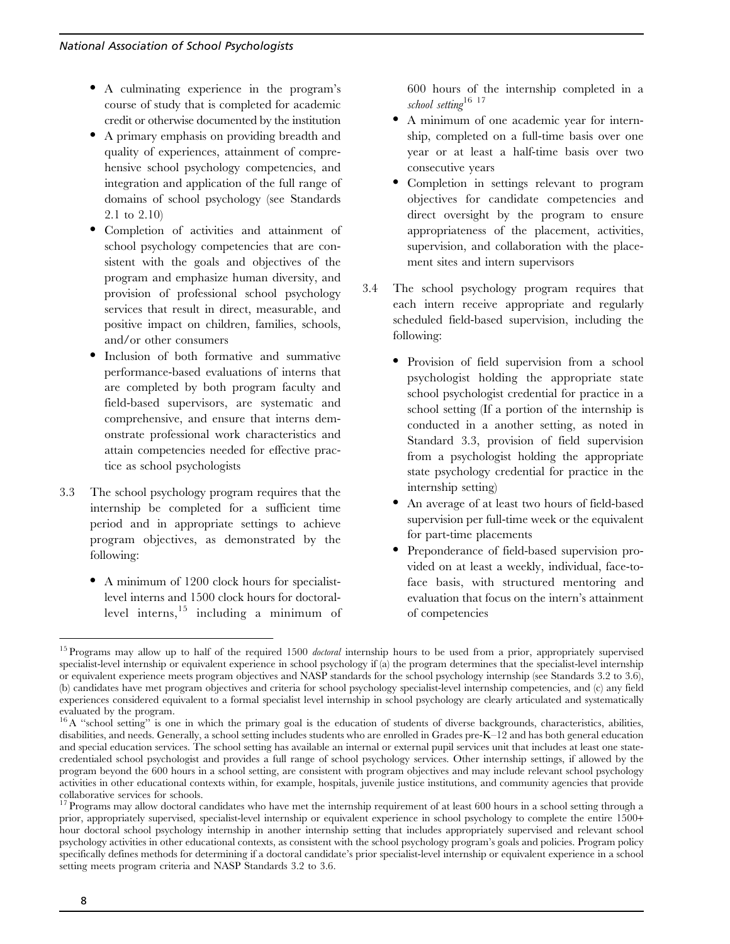- N A culminating experience in the program's course of study that is completed for academic credit or otherwise documented by the institution
- A primary emphasis on providing breadth and quality of experiences, attainment of comprehensive school psychology competencies, and integration and application of the full range of domains of school psychology (see Standards 2.1 to 2.10)
- N Completion of activities and attainment of school psychology competencies that are consistent with the goals and objectives of the program and emphasize human diversity, and provision of professional school psychology services that result in direct, measurable, and positive impact on children, families, schools, and/or other consumers
- N Inclusion of both formative and summative performance-based evaluations of interns that are completed by both program faculty and field-based supervisors, are systematic and comprehensive, and ensure that interns demonstrate professional work characteristics and attain competencies needed for effective practice as school psychologists
- 3.3 The school psychology program requires that the internship be completed for a sufficient time period and in appropriate settings to achieve program objectives, as demonstrated by the following:
	- A minimum of 1200 clock hours for specialistlevel interns and 1500 clock hours for doctorallevel interns,  $15$  including a minimum of

600 hours of the internship completed in a school setting<sup>16</sup><sup>17</sup>

- N A minimum of one academic year for internship, completed on a full-time basis over one year or at least a half-time basis over two consecutive years
- N Completion in settings relevant to program objectives for candidate competencies and direct oversight by the program to ensure appropriateness of the placement, activities, supervision, and collaboration with the placement sites and intern supervisors
- 3.4 The school psychology program requires that each intern receive appropriate and regularly scheduled field-based supervision, including the following:
	- Provision of field supervision from a school psychologist holding the appropriate state school psychologist credential for practice in a school setting (If a portion of the internship is conducted in a another setting, as noted in Standard 3.3, provision of field supervision from a psychologist holding the appropriate state psychology credential for practice in the internship setting)
	- An average of at least two hours of field-based supervision per full-time week or the equivalent for part-time placements
	- Preponderance of field-based supervision provided on at least a weekly, individual, face-toface basis, with structured mentoring and evaluation that focus on the intern's attainment of competencies

<sup>&</sup>lt;sup>15</sup> Programs may allow up to half of the required 1500 *doctoral* internship hours to be used from a prior, appropriately supervised specialist-level internship or equivalent experience in school psychology if (a) the program determines that the specialist-level internship or equivalent experience meets program objectives and NASP standards for the school psychology internship (see Standards 3.2 to 3.6), (b) candidates have met program objectives and criteria for school psychology specialist-level internship competencies, and (c) any field experiences considered equivalent to a formal specialist level internship in school psychology are clearly articulated and systematically evaluated by the program.

<sup>&</sup>lt;sup>16</sup>A "school setting" is one in which the primary goal is the education of students of diverse backgrounds, characteristics, abilities, disabilities, and needs. Generally, a school setting includes students who are enrolled in Grades pre-K–12 and has both general education and special education services. The school setting has available an internal or external pupil services unit that includes at least one statecredentialed school psychologist and provides a full range of school psychology services. Other internship settings, if allowed by the program beyond the 600 hours in a school setting, are consistent with program objectives and may include relevant school psychology activities in other educational contexts within, for example, hospitals, juvenile justice institutions, and community agencies that provide collaborative services for schools.

 $17$  Programs may allow doctoral candidates who have met the internship requirement of at least 600 hours in a school setting through a prior, appropriately supervised, specialist-level internship or equivalent experience in school psychology to complete the entire 1500+ hour doctoral school psychology internship in another internship setting that includes appropriately supervised and relevant school psychology activities in other educational contexts, as consistent with the school psychology program's goals and policies. Program policy specifically defines methods for determining if a doctoral candidate's prior specialist-level internship or equivalent experience in a school setting meets program criteria and NASP Standards 3.2 to 3.6.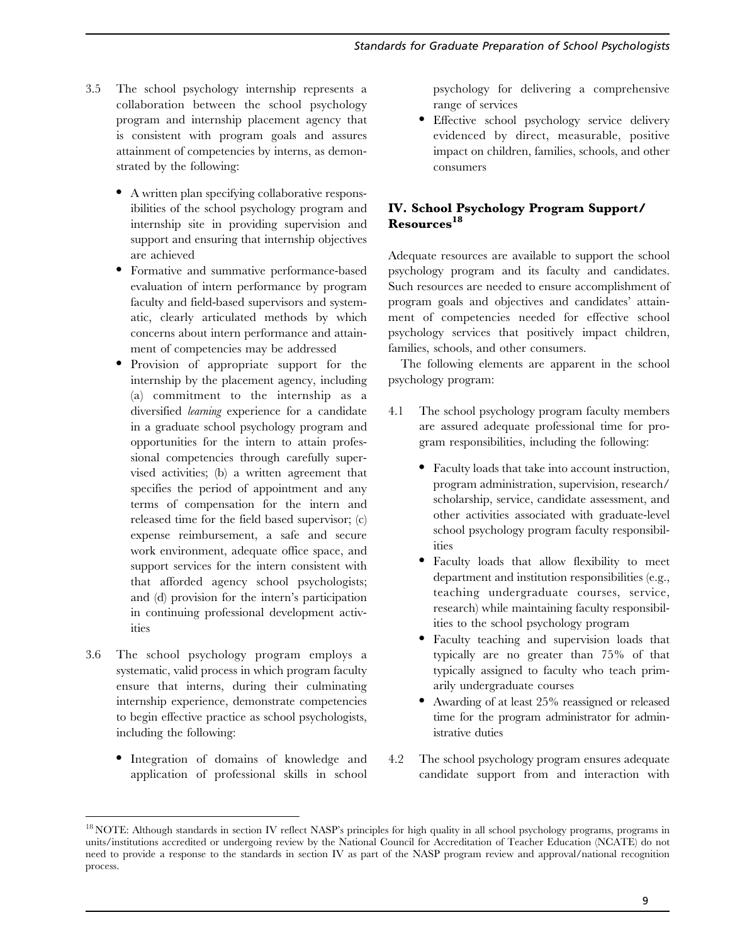- 3.5 The school psychology internship represents a collaboration between the school psychology program and internship placement agency that is consistent with program goals and assures attainment of competencies by interns, as demonstrated by the following:
	- A written plan specifying collaborative responsibilities of the school psychology program and internship site in providing supervision and support and ensuring that internship objectives are achieved
	- N Formative and summative performance-based evaluation of intern performance by program faculty and field-based supervisors and systematic, clearly articulated methods by which concerns about intern performance and attainment of competencies may be addressed
	- Provision of appropriate support for the internship by the placement agency, including (a) commitment to the internship as a diversified learning experience for a candidate in a graduate school psychology program and opportunities for the intern to attain professional competencies through carefully supervised activities; (b) a written agreement that specifies the period of appointment and any terms of compensation for the intern and released time for the field based supervisor; (c) expense reimbursement, a safe and secure work environment, adequate office space, and support services for the intern consistent with that afforded agency school psychologists; and (d) provision for the intern's participation in continuing professional development activities
- 3.6 The school psychology program employs a systematic, valid process in which program faculty ensure that interns, during their culminating internship experience, demonstrate competencies to begin effective practice as school psychologists, including the following:
	- Integration of domains of knowledge and application of professional skills in school

psychology for delivering a comprehensive range of services

 $\bullet$  Effective school psychology service delivery evidenced by direct, measurable, positive impact on children, families, schools, and other consumers

# IV. School Psychology Program Support/ Resources<sup>18</sup>

Adequate resources are available to support the school psychology program and its faculty and candidates. Such resources are needed to ensure accomplishment of program goals and objectives and candidates' attainment of competencies needed for effective school psychology services that positively impact children, families, schools, and other consumers.

- 4.1 The school psychology program faculty members are assured adequate professional time for program responsibilities, including the following:
	- Faculty loads that take into account instruction, program administration, supervision, research/ scholarship, service, candidate assessment, and other activities associated with graduate-level school psychology program faculty responsibilities
	- Faculty loads that allow flexibility to meet department and institution responsibilities (e.g., teaching undergraduate courses, service, research) while maintaining faculty responsibilities to the school psychology program
	- N Faculty teaching and supervision loads that typically are no greater than 75% of that typically assigned to faculty who teach primarily undergraduate courses
	- Awarding of at least 25% reassigned or released time for the program administrator for administrative duties
- 4.2 The school psychology program ensures adequate candidate support from and interaction with

 $^{18}$  NOTE: Although standards in section IV reflect NASP's principles for high quality in all school psychology programs, programs in units/institutions accredited or undergoing review by the National Council for Accreditation of Teacher Education (NCATE) do not need to provide a response to the standards in section IV as part of the NASP program review and approval/national recognition process.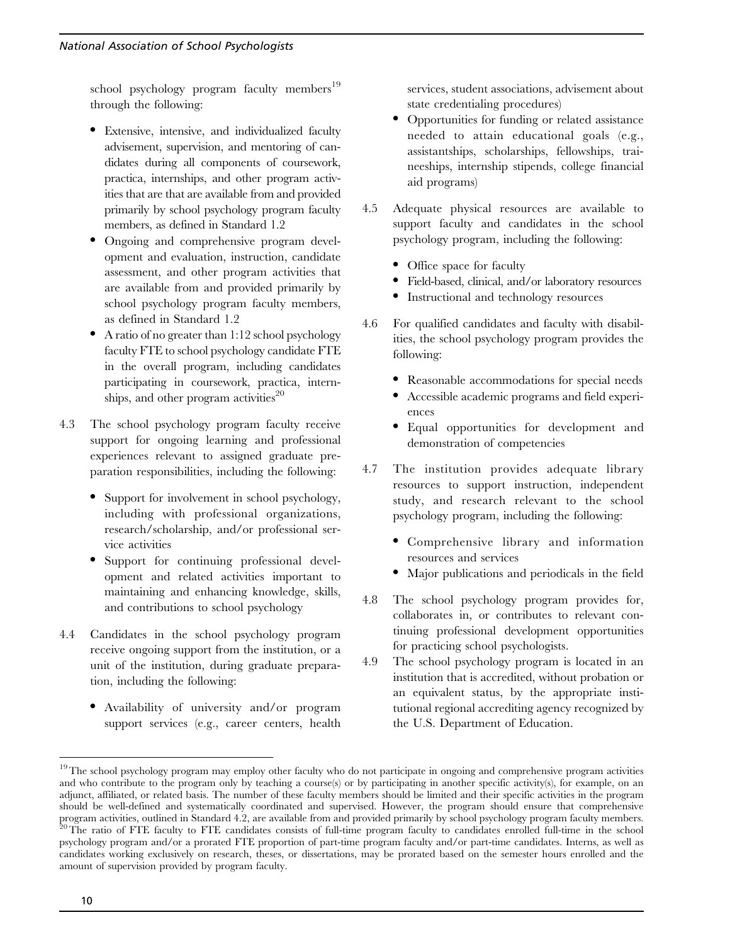school psychology program faculty members<sup>19</sup> through the following:

- N Extensive, intensive, and individualized faculty advisement, supervision, and mentoring of candidates during all components of coursework, practica, internships, and other program activities that are that are available from and provided primarily by school psychology program faculty members, as defined in Standard 1.2
- $\bullet$  Ongoing and comprehensive program development and evaluation, instruction, candidate assessment, and other program activities that are available from and provided primarily by school psychology program faculty members, as defined in Standard 1.2
- $\bullet$  A ratio of no greater than 1:12 school psychology faculty FTE to school psychology candidate FTE in the overall program, including candidates participating in coursework, practica, internships, and other program activities<sup>20</sup>
- 4.3 The school psychology program faculty receive support for ongoing learning and professional experiences relevant to assigned graduate preparation responsibilities, including the following:
	- Support for involvement in school psychology, including with professional organizations, research/scholarship, and/or professional service activities
	- Support for continuing professional development and related activities important to maintaining and enhancing knowledge, skills, and contributions to school psychology
- 4.4 Candidates in the school psychology program receive ongoing support from the institution, or a unit of the institution, during graduate preparation, including the following:
	- Availability of university and/or program support services (e.g., career centers, health

services, student associations, advisement about state credentialing procedures)

- Opportunities for funding or related assistance needed to attain educational goals (e.g., assistantships, scholarships, fellowships, traineeships, internship stipends, college financial aid programs)
- 4.5 Adequate physical resources are available to support faculty and candidates in the school psychology program, including the following:
	- Office space for faculty
	- N Field-based, clinical, and/or laboratory resources
	- Instructional and technology resources
- 4.6 For qualified candidates and faculty with disabilities, the school psychology program provides the following:
	- N Reasonable accommodations for special needs
	- Accessible academic programs and field experiences
	- Equal opportunities for development and demonstration of competencies
- 4.7 The institution provides adequate library resources to support instruction, independent study, and research relevant to the school psychology program, including the following:
	- N Comprehensive library and information resources and services
	- Major publications and periodicals in the field
- 4.8 The school psychology program provides for, collaborates in, or contributes to relevant continuing professional development opportunities for practicing school psychologists.
- 4.9 The school psychology program is located in an institution that is accredited, without probation or an equivalent status, by the appropriate institutional regional accrediting agency recognized by the U.S. Department of Education.

<sup>&</sup>lt;sup>19</sup>The school psychology program may employ other faculty who do not participate in ongoing and comprehensive program activities and who contribute to the program only by teaching a course(s) or by participating in another specific activity(s), for example, on an adjunct, affiliated, or related basis. The number of these faculty members should be limited and their specific activities in the program should be well-defined and systematically coordinated and supervised. However, the program should ensure that comprehensive program activities, outlined in Standard 4.2, are available from and provided primarily by school psychology program faculty members.<br><sup>20</sup> The ratio of FTE faculty to FTE candidates consists of full-time program faculty to psychology program and/or a prorated FTE proportion of part-time program faculty and/or part-time candidates. Interns, as well as candidates working exclusively on research, theses, or dissertations, may be prorated based on the semester hours enrolled and the amount of supervision provided by program faculty.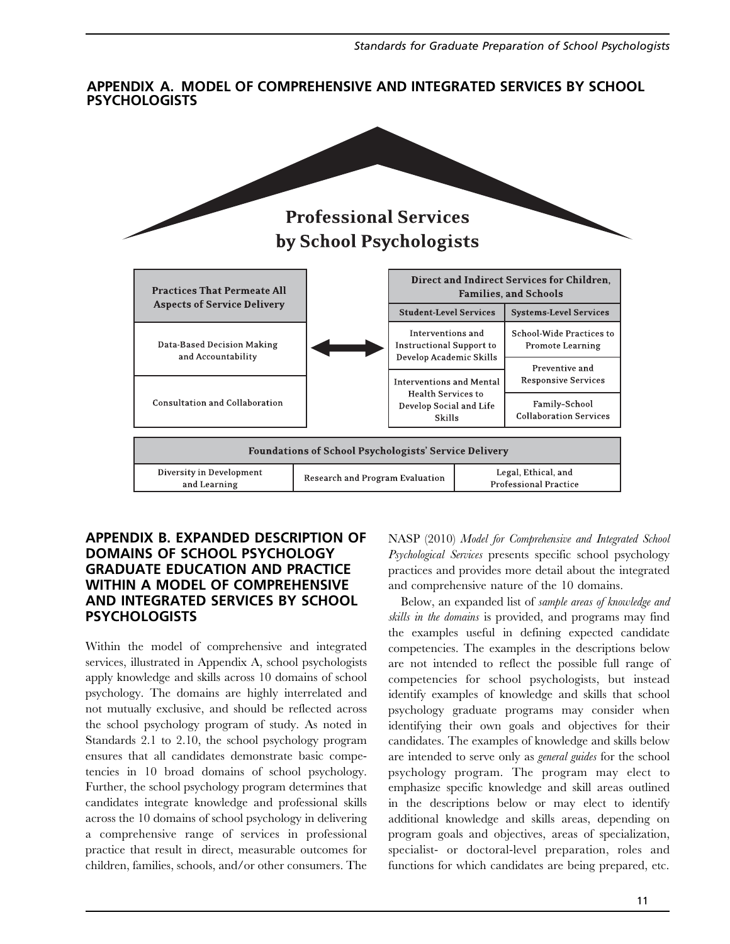# APPENDIX A. MODEL OF COMPREHENSIVE AND INTEGRATED SERVICES BY SCHOOL PSYCHOLOGISTS



# APPENDIX B. EXPANDED DESCRIPTION OF DOMAINS OF SCHOOL PSYCHOLOGY GRADUATE EDUCATION AND PRACTICE WITHIN A MODEL OF COMPREHENSIVE AND INTEGRATED SERVICES BY SCHOOL PSYCHOLOGISTS

Within the model of comprehensive and integrated services, illustrated in Appendix A, school psychologists apply knowledge and skills across 10 domains of school psychology. The domains are highly interrelated and not mutually exclusive, and should be reflected across the school psychology program of study. As noted in Standards 2.1 to 2.10, the school psychology program ensures that all candidates demonstrate basic competencies in 10 broad domains of school psychology. Further, the school psychology program determines that candidates integrate knowledge and professional skills across the 10 domains of school psychology in delivering a comprehensive range of services in professional practice that result in direct, measurable outcomes for children, families, schools, and/or other consumers. The NASP (2010) Model for Comprehensive and Integrated School Psychological Services presents specific school psychology practices and provides more detail about the integrated and comprehensive nature of the 10 domains.

Below, an expanded list of sample areas of knowledge and skills in the domains is provided, and programs may find the examples useful in defining expected candidate competencies. The examples in the descriptions below are not intended to reflect the possible full range of competencies for school psychologists, but instead identify examples of knowledge and skills that school psychology graduate programs may consider when identifying their own goals and objectives for their candidates. The examples of knowledge and skills below are intended to serve only as general guides for the school psychology program. The program may elect to emphasize specific knowledge and skill areas outlined in the descriptions below or may elect to identify additional knowledge and skills areas, depending on program goals and objectives, areas of specialization, specialist- or doctoral-level preparation, roles and functions for which candidates are being prepared, etc.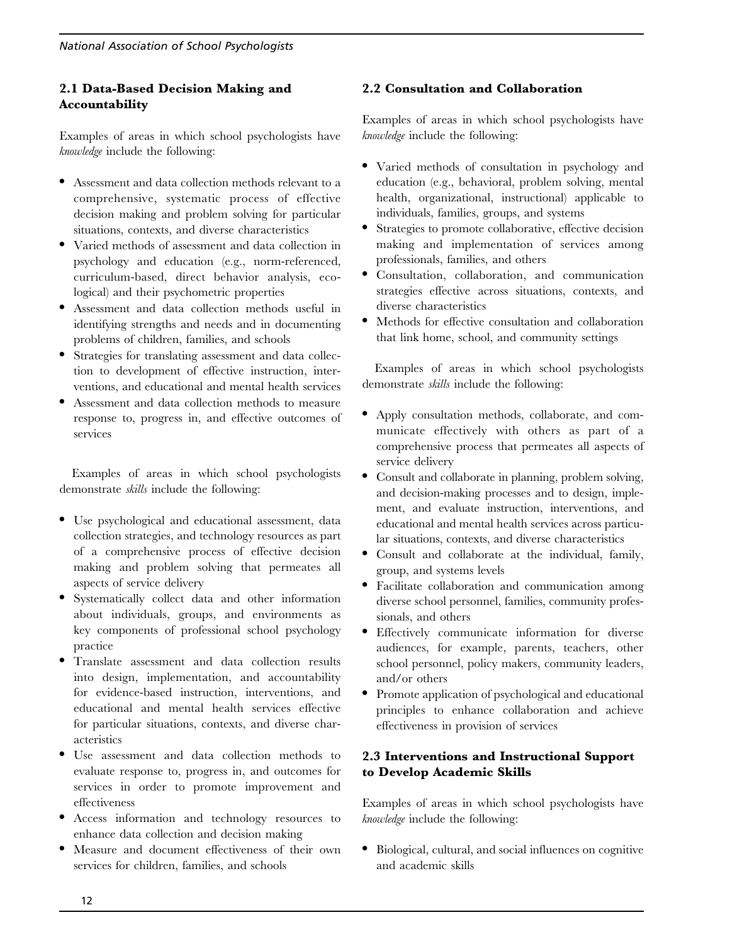### 2.1 Data-Based Decision Making and Accountability

Examples of areas in which school psychologists have knowledge include the following:

- Assessment and data collection methods relevant to a comprehensive, systematic process of effective decision making and problem solving for particular situations, contexts, and diverse characteristics
- Varied methods of assessment and data collection in psychology and education (e.g., norm-referenced, curriculum-based, direct behavior analysis, ecological) and their psychometric properties
- N Assessment and data collection methods useful in identifying strengths and needs and in documenting problems of children, families, and schools
- Strategies for translating assessment and data collection to development of effective instruction, interventions, and educational and mental health services
- Assessment and data collection methods to measure response to, progress in, and effective outcomes of services

Examples of areas in which school psychologists demonstrate skills include the following:

- Use psychological and educational assessment, data collection strategies, and technology resources as part of a comprehensive process of effective decision making and problem solving that permeates all aspects of service delivery
- Systematically collect data and other information about individuals, groups, and environments as key components of professional school psychology practice
- Translate assessment and data collection results into design, implementation, and accountability for evidence-based instruction, interventions, and educational and mental health services effective for particular situations, contexts, and diverse characteristics
- Use assessment and data collection methods to evaluate response to, progress in, and outcomes for services in order to promote improvement and effectiveness
- N Access information and technology resources to enhance data collection and decision making
- Measure and document effectiveness of their own services for children, families, and schools

# 2.2 Consultation and Collaboration

Examples of areas in which school psychologists have knowledge include the following:

- Varied methods of consultation in psychology and education (e.g., behavioral, problem solving, mental health, organizational, instructional) applicable to individuals, families, groups, and systems
- Strategies to promote collaborative, effective decision making and implementation of services among professionals, families, and others
- N Consultation, collaboration, and communication strategies effective across situations, contexts, and diverse characteristics
- $\bullet$  Methods for effective consultation and collaboration that link home, school, and community settings

Examples of areas in which school psychologists demonstrate skills include the following:

- Apply consultation methods, collaborate, and communicate effectively with others as part of a comprehensive process that permeates all aspects of service delivery
- Consult and collaborate in planning, problem solving, and decision-making processes and to design, implement, and evaluate instruction, interventions, and educational and mental health services across particular situations, contexts, and diverse characteristics
- Consult and collaborate at the individual, family, group, and systems levels
- N Facilitate collaboration and communication among diverse school personnel, families, community professionals, and others
- N Effectively communicate information for diverse audiences, for example, parents, teachers, other school personnel, policy makers, community leaders, and/or others
- Promote application of psychological and educational principles to enhance collaboration and achieve effectiveness in provision of services

#### 2.3 Interventions and Instructional Support to Develop Academic Skills

Examples of areas in which school psychologists have knowledge include the following:

• Biological, cultural, and social influences on cognitive and academic skills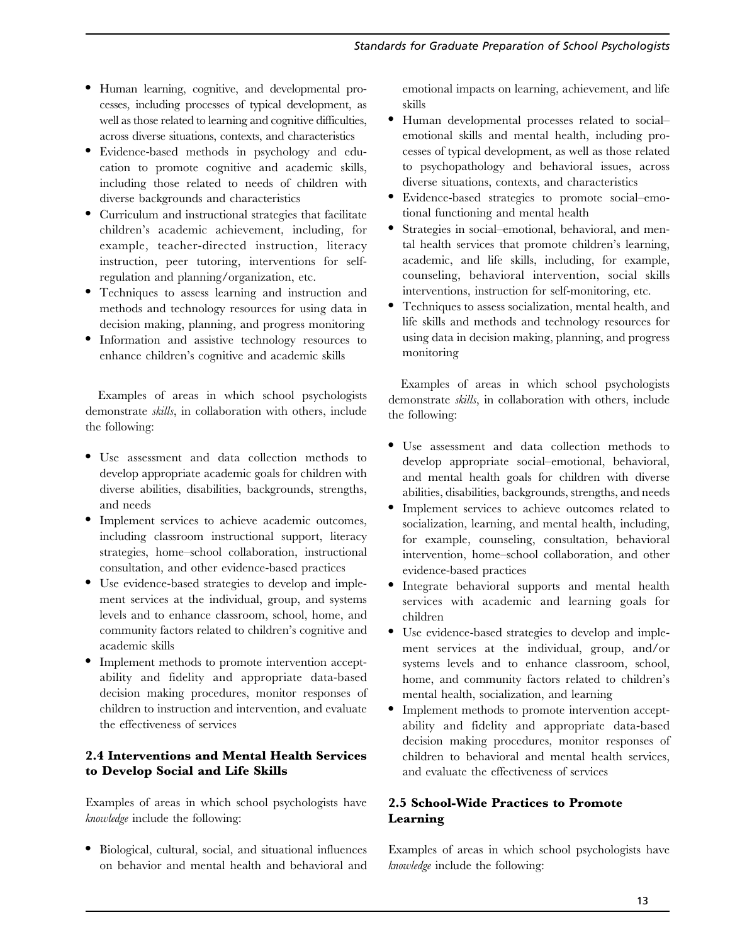#### Standards for Graduate Preparation of School Psychologists

- N Human learning, cognitive, and developmental processes, including processes of typical development, as well as those related to learning and cognitive difficulties, across diverse situations, contexts, and characteristics
- N Evidence-based methods in psychology and education to promote cognitive and academic skills, including those related to needs of children with diverse backgrounds and characteristics
- N Curriculum and instructional strategies that facilitate children's academic achievement, including, for example, teacher-directed instruction, literacy instruction, peer tutoring, interventions for selfregulation and planning/organization, etc.
- Techniques to assess learning and instruction and methods and technology resources for using data in decision making, planning, and progress monitoring
- Information and assistive technology resources to enhance children's cognitive and academic skills

Examples of areas in which school psychologists demonstrate skills, in collaboration with others, include the following:

- N Use assessment and data collection methods to develop appropriate academic goals for children with diverse abilities, disabilities, backgrounds, strengths, and needs
- Implement services to achieve academic outcomes, including classroom instructional support, literacy strategies, home–school collaboration, instructional consultation, and other evidence-based practices
- $\bullet$  Use evidence-based strategies to develop and implement services at the individual, group, and systems levels and to enhance classroom, school, home, and community factors related to children's cognitive and academic skills
- Implement methods to promote intervention acceptability and fidelity and appropriate data-based decision making procedures, monitor responses of children to instruction and intervention, and evaluate the effectiveness of services

### 2.4 Interventions and Mental Health Services to Develop Social and Life Skills

Examples of areas in which school psychologists have knowledge include the following:

• Biological, cultural, social, and situational influences on behavior and mental health and behavioral and emotional impacts on learning, achievement, and life skills

- Human developmental processes related to social– emotional skills and mental health, including processes of typical development, as well as those related to psychopathology and behavioral issues, across diverse situations, contexts, and characteristics
- N Evidence-based strategies to promote social–emotional functioning and mental health
- Strategies in social–emotional, behavioral, and mental health services that promote children's learning, academic, and life skills, including, for example, counseling, behavioral intervention, social skills interventions, instruction for self-monitoring, etc.
- N Techniques to assess socialization, mental health, and life skills and methods and technology resources for using data in decision making, planning, and progress monitoring

Examples of areas in which school psychologists demonstrate *skills*, in collaboration with others, include the following:

- N Use assessment and data collection methods to develop appropriate social–emotional, behavioral, and mental health goals for children with diverse abilities, disabilities, backgrounds, strengths, and needs
- Implement services to achieve outcomes related to socialization, learning, and mental health, including, for example, counseling, consultation, behavioral intervention, home–school collaboration, and other evidence-based practices
- N Integrate behavioral supports and mental health services with academic and learning goals for children
- Use evidence-based strategies to develop and implement services at the individual, group, and/or systems levels and to enhance classroom, school, home, and community factors related to children's mental health, socialization, and learning
- Implement methods to promote intervention acceptability and fidelity and appropriate data-based decision making procedures, monitor responses of children to behavioral and mental health services, and evaluate the effectiveness of services

#### 2.5 School-Wide Practices to Promote Learning

Examples of areas in which school psychologists have knowledge include the following: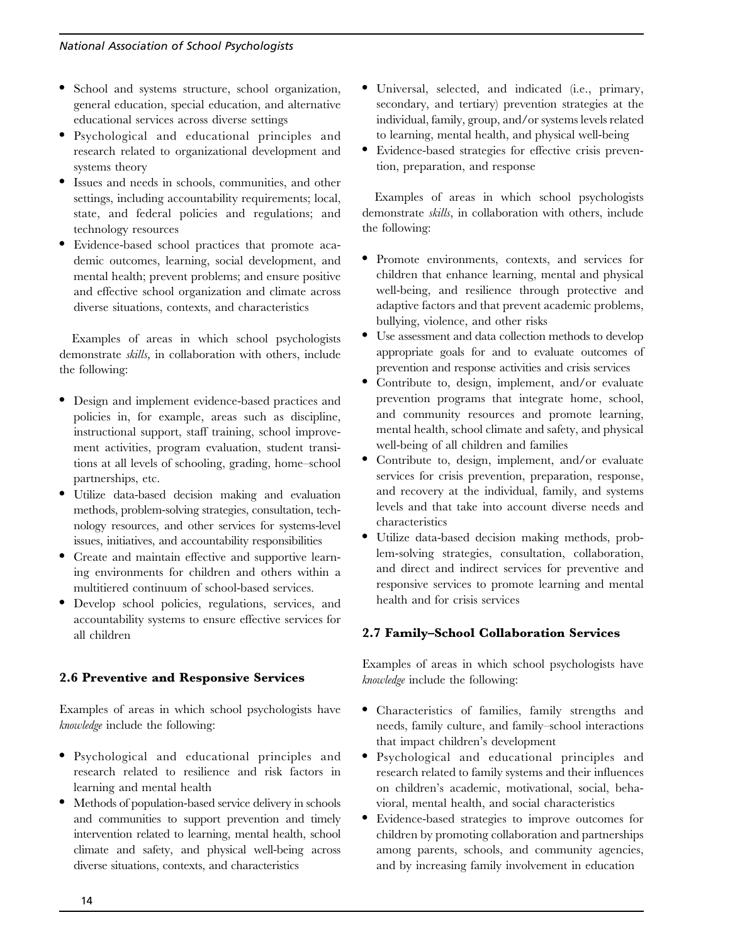- School and systems structure, school organization, general education, special education, and alternative educational services across diverse settings
- N Psychological and educational principles and research related to organizational development and systems theory
- N Issues and needs in schools, communities, and other settings, including accountability requirements; local, state, and federal policies and regulations; and technology resources
- Evidence-based school practices that promote academic outcomes, learning, social development, and mental health; prevent problems; and ensure positive and effective school organization and climate across diverse situations, contexts, and characteristics

Examples of areas in which school psychologists demonstrate skills, in collaboration with others, include the following:

- Design and implement evidence-based practices and policies in, for example, areas such as discipline, instructional support, staff training, school improvement activities, program evaluation, student transitions at all levels of schooling, grading, home–school partnerships, etc.
- N Utilize data-based decision making and evaluation methods, problem-solving strategies, consultation, technology resources, and other services for systems-level issues, initiatives, and accountability responsibilities
- Create and maintain effective and supportive learning environments for children and others within a multitiered continuum of school-based services.
- Develop school policies, regulations, services, and accountability systems to ensure effective services for all children

# 2.6 Preventive and Responsive Services

Examples of areas in which school psychologists have knowledge include the following:

- N Psychological and educational principles and research related to resilience and risk factors in learning and mental health
- Methods of population-based service delivery in schools and communities to support prevention and timely intervention related to learning, mental health, school climate and safety, and physical well-being across diverse situations, contexts, and characteristics
- $\bullet$  Universal, selected, and indicated (i.e., primary, secondary, and tertiary) prevention strategies at the individual, family, group, and/or systems levels related to learning, mental health, and physical well-being
- N Evidence-based strategies for effective crisis prevention, preparation, and response

Examples of areas in which school psychologists demonstrate skills, in collaboration with others, include the following:

- N Promote environments, contexts, and services for children that enhance learning, mental and physical well-being, and resilience through protective and adaptive factors and that prevent academic problems, bullying, violence, and other risks
- $\bullet$  Use assessment and data collection methods to develop appropriate goals for and to evaluate outcomes of prevention and response activities and crisis services
- Contribute to, design, implement, and/or evaluate prevention programs that integrate home, school, and community resources and promote learning, mental health, school climate and safety, and physical well-being of all children and families
- Contribute to, design, implement, and/or evaluate services for crisis prevention, preparation, response, and recovery at the individual, family, and systems levels and that take into account diverse needs and characteristics
- $\bullet$  Utilize data-based decision making methods, problem-solving strategies, consultation, collaboration, and direct and indirect services for preventive and responsive services to promote learning and mental health and for crisis services

# 2.7 Family–School Collaboration Services

Examples of areas in which school psychologists have knowledge include the following:

- N Characteristics of families, family strengths and needs, family culture, and family–school interactions that impact children's development
- N Psychological and educational principles and research related to family systems and their influences on children's academic, motivational, social, behavioral, mental health, and social characteristics
- Evidence-based strategies to improve outcomes for children by promoting collaboration and partnerships among parents, schools, and community agencies, and by increasing family involvement in education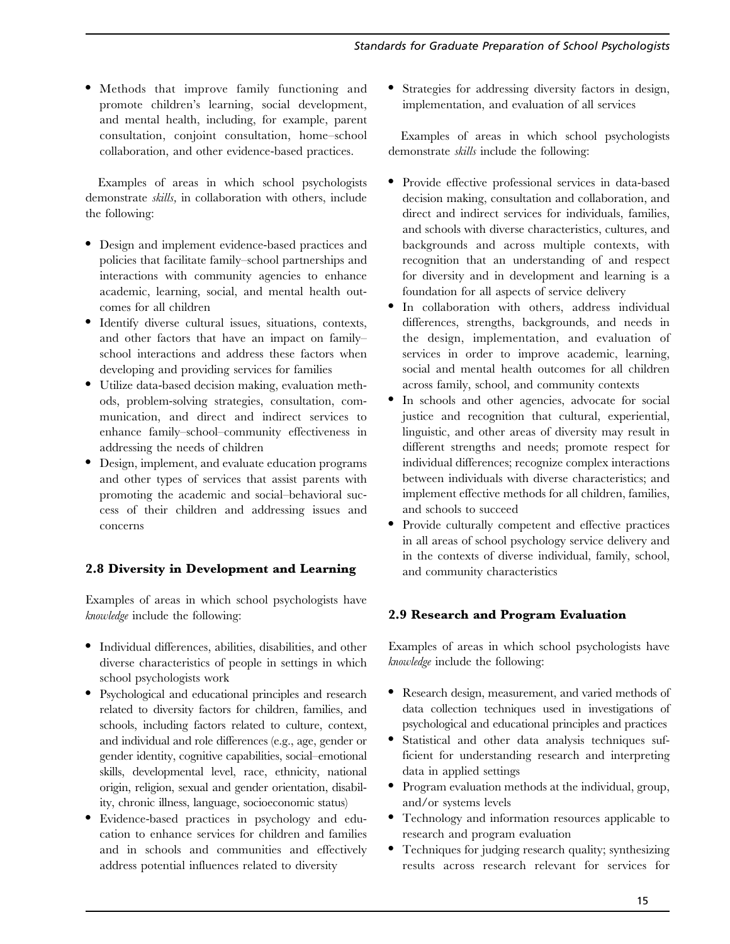#### Standards for Graduate Preparation of School Psychologists

N Methods that improve family functioning and promote children's learning, social development, and mental health, including, for example, parent consultation, conjoint consultation, home–school collaboration, and other evidence-based practices.

Examples of areas in which school psychologists demonstrate skills, in collaboration with others, include the following:

- Design and implement evidence-based practices and policies that facilitate family–school partnerships and interactions with community agencies to enhance academic, learning, social, and mental health outcomes for all children
- N Identify diverse cultural issues, situations, contexts, and other factors that have an impact on family– school interactions and address these factors when developing and providing services for families
- $\bullet$  Utilize data-based decision making, evaluation methods, problem-solving strategies, consultation, communication, and direct and indirect services to enhance family–school–community effectiveness in addressing the needs of children
- $\bullet$  Design, implement, and evaluate education programs and other types of services that assist parents with promoting the academic and social–behavioral success of their children and addressing issues and concerns

# 2.8 Diversity in Development and Learning

Examples of areas in which school psychologists have knowledge include the following:

- $\bullet$  Individual differences, abilities, disabilities, and other diverse characteristics of people in settings in which school psychologists work
- N Psychological and educational principles and research related to diversity factors for children, families, and schools, including factors related to culture, context, and individual and role differences (e.g., age, gender or gender identity, cognitive capabilities, social–emotional skills, developmental level, race, ethnicity, national origin, religion, sexual and gender orientation, disability, chronic illness, language, socioeconomic status)
- Evidence-based practices in psychology and education to enhance services for children and families and in schools and communities and effectively address potential influences related to diversity

• Strategies for addressing diversity factors in design, implementation, and evaluation of all services

Examples of areas in which school psychologists demonstrate *skills* include the following:

- N Provide effective professional services in data-based decision making, consultation and collaboration, and direct and indirect services for individuals, families, and schools with diverse characteristics, cultures, and backgrounds and across multiple contexts, with recognition that an understanding of and respect for diversity and in development and learning is a foundation for all aspects of service delivery
- $\bullet$  In collaboration with others, address individual differences, strengths, backgrounds, and needs in the design, implementation, and evaluation of services in order to improve academic, learning, social and mental health outcomes for all children across family, school, and community contexts
- In schools and other agencies, advocate for social justice and recognition that cultural, experiential, linguistic, and other areas of diversity may result in different strengths and needs; promote respect for individual differences; recognize complex interactions between individuals with diverse characteristics; and implement effective methods for all children, families, and schools to succeed
- Provide culturally competent and effective practices in all areas of school psychology service delivery and in the contexts of diverse individual, family, school, and community characteristics

# 2.9 Research and Program Evaluation

Examples of areas in which school psychologists have knowledge include the following:

- Research design, measurement, and varied methods of data collection techniques used in investigations of psychological and educational principles and practices
- N Statistical and other data analysis techniques sufficient for understanding research and interpreting data in applied settings
- Program evaluation methods at the individual, group, and/or systems levels
- N Technology and information resources applicable to research and program evaluation
- Techniques for judging research quality; synthesizing results across research relevant for services for